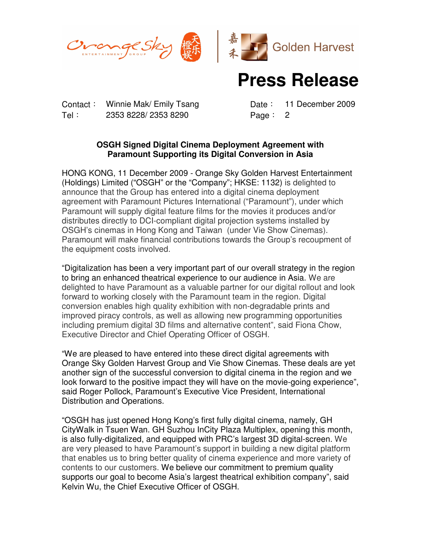



## **Press Release**

Contact: Winnie Mak/ Emily Tsang Date: 11 December 2009 Tel: 2353 8228/ 2353 8290 Page: 2

## **OSGH Signed Digital Cinema Deployment Agreement with Paramount Supporting its Digital Conversion in Asia**

HONG KONG, 11 December 2009 - Orange Sky Golden Harvest Entertainment (Holdings) Limited ("OSGH" or the "Company"; HKSE: 1132) is delighted to announce that the Group has entered into a digital cinema deployment agreement with Paramount Pictures International ("Paramount"), under which Paramount will supply digital feature films for the movies it produces and/or distributes directly to DCI-compliant digital projection systems installed by OSGH's cinemas in Hong Kong and Taiwan (under Vie Show Cinemas). Paramount will make financial contributions towards the Group's recoupment of the equipment costs involved.

"Digitalization has been a very important part of our overall strategy in the region to bring an enhanced theatrical experience to our audience in Asia. We are delighted to have Paramount as a valuable partner for our digital rollout and look forward to working closely with the Paramount team in the region. Digital conversion enables high quality exhibition with non-degradable prints and improved piracy controls, as well as allowing new programming opportunities including premium digital 3D films and alternative content", said Fiona Chow, Executive Director and Chief Operating Officer of OSGH.

"We are pleased to have entered into these direct digital agreements with Orange Sky Golden Harvest Group and Vie Show Cinemas. These deals are yet another sign of the successful conversion to digital cinema in the region and we look forward to the positive impact they will have on the movie-going experience", said Roger Pollock, Paramount's Executive Vice President, International Distribution and Operations.

"OSGH has just opened Hong Kong's first fully digital cinema, namely, GH CityWalk in Tsuen Wan. GH Suzhou InCity Plaza Multiplex, opening this month, is also fully-digitalized, and equipped with PRC's largest 3D digital-screen. We are very pleased to have Paramount's support in building a new digital platform that enables us to bring better quality of cinema experience and more variety of contents to our customers. We believe our commitment to premium quality supports our goal to become Asia's largest theatrical exhibition company", said Kelvin Wu, the Chief Executive Officer of OSGH.